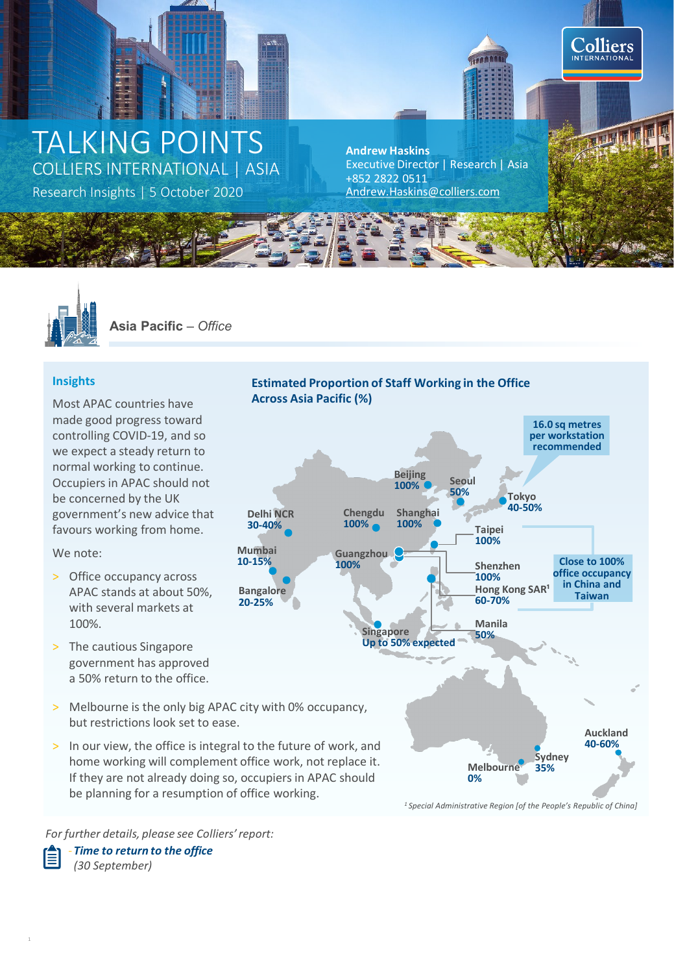# TALKING POINTS COLLIERS INTERNATIONAL | ASIA

Research Insights | 5 October 2020

**Andrew Haskins** Executive Director | Research | Asia +852 2822 0511<br>Andrew.Haskins@colliers.com

Colliers **INTERNATIONA** 

**Estimated Proportion of Staff Working in the Office** 



**Asia Pacific** *– Office*

# **Insights**

Most APAC countries have made good progress toward controlling COVID-19, and so we expect a steady return to normal working to continue. Occupiers in APAC should not be concerned by the UK government's new advice that favours working from home.

We note:

- > Office occupancy across APAC stands at about 50%, with several markets at 100%.
- > The cautious Singapore government has approved a 50% return to the office.
- > Melbourne is the only big APAC city with 0% occupancy, but restrictions look set to ease.

**Mumbai 10-15%**

**Bangalore 20-25%**

**Delhi NCR 30-40%**

> In our view, the office is integral to the future of work, and home working will complement office work, not replace it. If they are not already doing so, occupiers in APAC should be planning for a resumption of office working.



*1 Special Administrative Region [of the People's Republic of China]* 

*For further details, please see Colliers' report:*

‐*Time to return to the office (30 September)*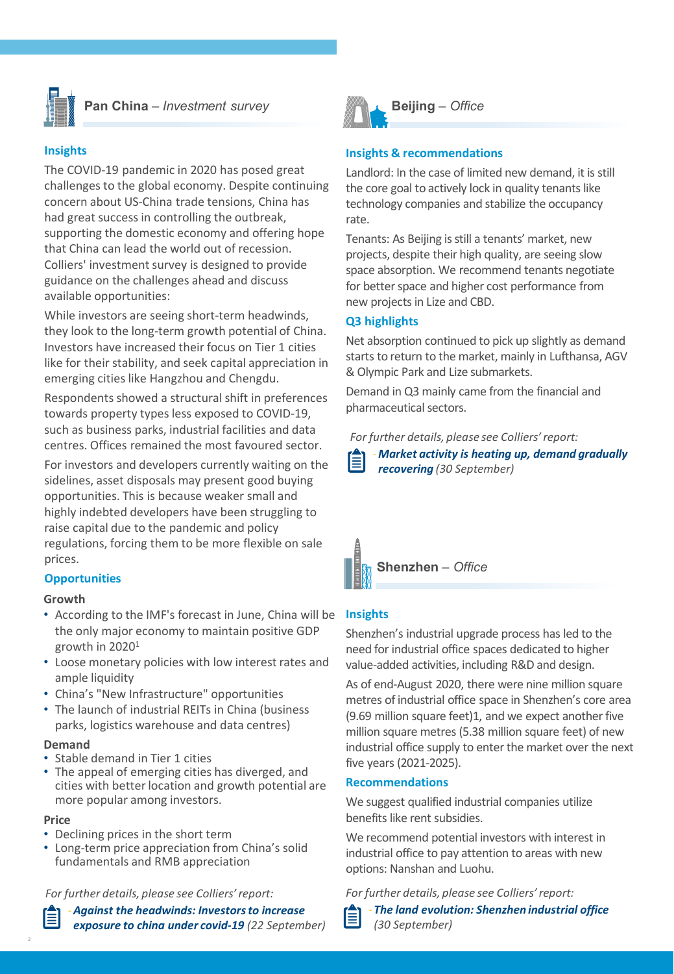

**Pan China** *– Investment survey*

# **Insights**

The COVID-19 pandemic in 2020 has posed great challenges to the global economy. Despite continuing concern about US-China trade tensions, China has had great success in controlling the outbreak, supporting the domestic economy and offering hope that China can lead the world out of recession. Colliers' investment survey is designed to provide guidance on the challenges ahead and discuss available opportunities:

While investors are seeing short-term headwinds, they look to the long-term growth potential of China. Investors have increased their focus on Tier 1 cities like for their stability, and seek capital appreciation in emerging cities like Hangzhou and Chengdu.

Respondents showed a structural shift in preferences towards property types less exposed to COVID-19, such as business parks, industrial facilities and data centres. Offices remained the most favoured sector.

For investors and developers currently waiting on the sidelines, asset disposals may present good buying opportunities. This is because weaker small and highly indebted developers have been struggling to raise capital due to the pandemic and policy regulations, forcing them to be more flexible on sale prices.

# **Opportunities**

## **Growth**

- According to the IMF's forecast in June, China will be the only major economy to maintain positive GDP growth in 20201
- Loose monetary policies with low interest rates and ample liquidity
- China's "New Infrastructure" opportunities
- The launch of industrial REITs in China (business parks, logistics warehouse and data centres)

## **Demand**

- Stable demand in Tier 1 cities
- The appeal of emerging cities has diverged, and cities with better location and growth potential are more popular among investors.

#### **Price**

- Declining prices in the short term
- Long-term price appreciation from China's solid fundamentals and RMB appreciation

*For further details, please see Colliers' report:*



‐*Against the headwinds: Investors to increase exposure to china under covid-19 (22 September)*



# **Insights & recommendations**

Landlord: In the case of limited new demand, it is still the core goal to actively lock in quality tenants like technology companies and stabilize the occupancy rate.

Tenants: As Beijing is still a tenants' market, new projects, despite their high quality, are seeing slow space absorption. We recommend tenants negotiate for better space and higher cost performance from new projects in Lize and CBD.

# **Q3 highlights**

Net absorption continued to pick up slightly as demand starts to return to the market, mainly in Lufthansa, AGV & Olympic Park and Lize submarkets.

Demand in Q3 mainly came from the financial and pharmaceutical sectors.

*For further details, please see Colliers' report:*

‐*Market activity is heating up, demand gradually recovering (30 September)*

**Shenzhen** *– Office*

# **Insights**

Shenzhen's industrial upgrade process has led to the need for industrial office spaces dedicated to higher value-added activities, including R&D and design.

As of end-August 2020, there were nine million square metres of industrial office space in Shenzhen's core area (9.69 million square feet)1, and we expect another five million square metres (5.38 million square feet) of new industrial office supply to enter the market over the next five years (2021-2025).

## **Recommendations**

We suggest qualified industrial companies utilize benefits like rent subsidies.

We recommend potential investors with interest in industrial office to pay attention to areas with new options: Nanshan and Luohu.

*For further details, please see Colliers' report:*

‐*The land evolution: Shenzhen industrial office (30 September)*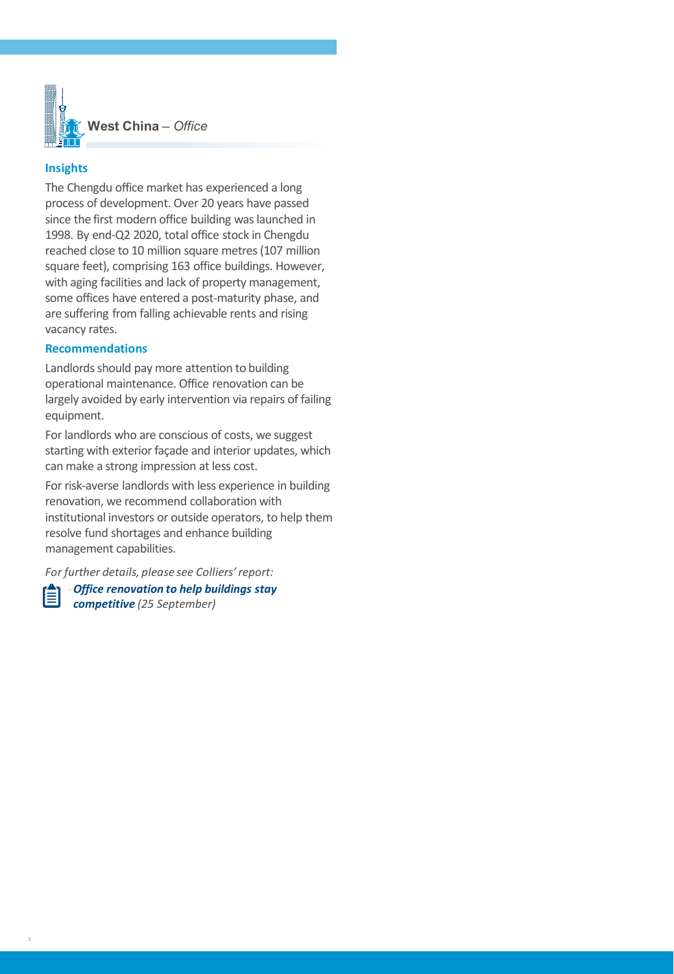

## **Insights**

The Chengdu office market has experienced a long process of development. Over 20 years have passed since the first modern office building was launched in 1998. By end-Q2 2020, total office stock in Chengdu reached close to 10 million square metres(107 million square feet), comprising 163 office buildings. However, with aging facilities and lack of property management, some offices have entered a post-maturity phase, and are suffering from falling achievable rents and rising vacancy rates.

# **Recommendations**

Landlords should pay more attention to building operational maintenance. Office renovation can be largely avoided by early intervention via repairs of failing equipment.

For landlords who are conscious of costs, we suggest starting with exterior façade and interior updates, which can make a strong impression at less cost.

For risk-averse landlords with less experience in building renovation, we recommend collaboration with institutional investors or outside operators, to help them resolve fund shortages and enhance building management capabilities.

*For further details, please see Colliers' report:*

‐*Office renovation to help buildings stay*  ≣ *competitive (25 September)*